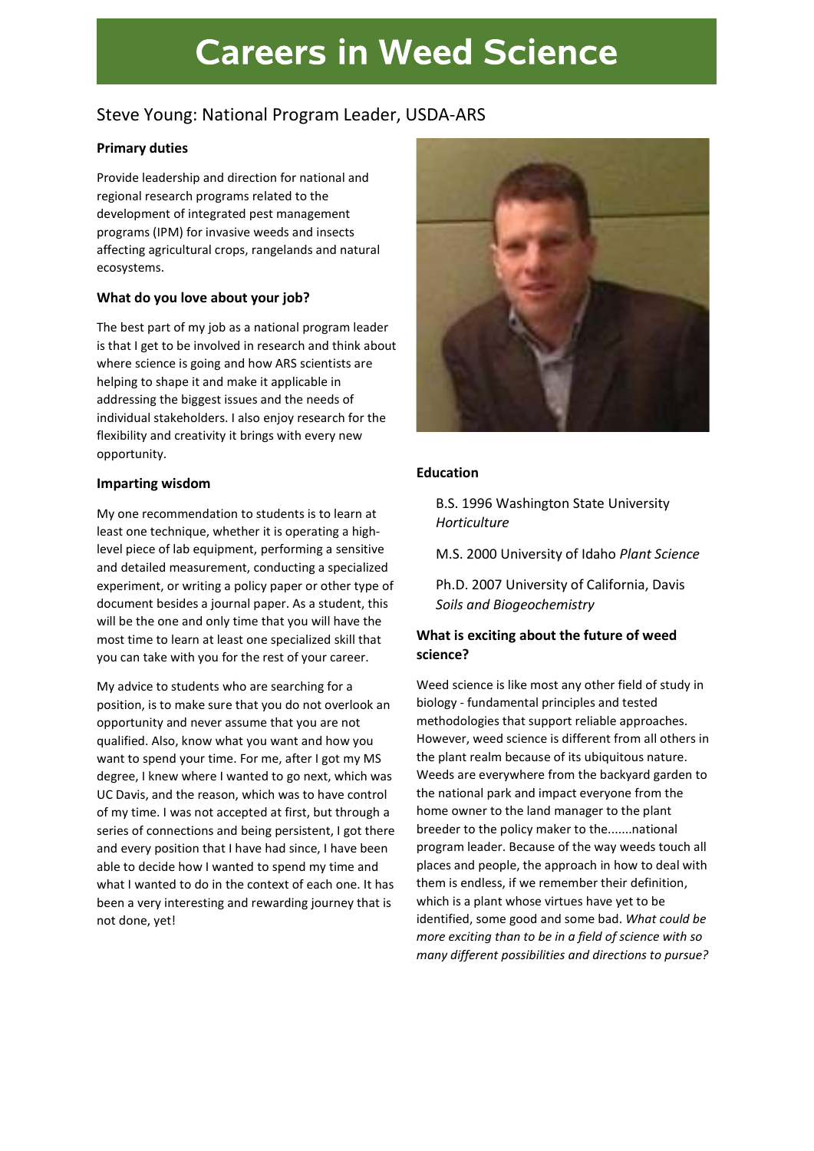# **Careers in Weed Science**

# Steve Young: National Program Leader, USDA-ARS

### Primary duties

Provide leadership and direction for national and regional research programs related to the development of integrated pest management programs (IPM) for invasive weeds and insects affecting agricultural crops, rangelands and natural ecosystems.

## What do you love about your job?

The best part of my job as a national program leader is that I get to be involved in research and think about where science is going and how ARS scientists are helping to shape it and make it applicable in addressing the biggest issues and the needs of individual stakeholders. I also enjoy research for the flexibility and creativity it brings with every new opportunity.

#### Imparting wisdom

My one recommendation to students is to learn at least one technique, whether it is operating a highlevel piece of lab equipment, performing a sensitive and detailed measurement, conducting a specialized experiment, or writing a policy paper or other type of document besides a journal paper. As a student, this will be the one and only time that you will have the most time to learn at least one specialized skill that you can take with you for the rest of your career.

My advice to students who are searching for a position, is to make sure that you do not overlook an opportunity and never assume that you are not qualified. Also, know what you want and how you want to spend your time. For me, after I got my MS degree, I knew where I wanted to go next, which was UC Davis, and the reason, which was to have control of my time. I was not accepted at first, but through a series of connections and being persistent, I got there and every position that I have had since, I have been able to decide how I wanted to spend my time and what I wanted to do in the context of each one. It has been a very interesting and rewarding journey that is not done, yet!



#### Education

B.S. 1996 Washington State University **Horticulture** 

M.S. 2000 University of Idaho Plant Science

Ph.D. 2007 University of California, Davis Soils and Biogeochemistry

# What is exciting about the future of weed science?

Weed science is like most any other field of study in biology - fundamental principles and tested methodologies that support reliable approaches. However, weed science is different from all others in the plant realm because of its ubiquitous nature. Weeds are everywhere from the backyard garden to the national park and impact everyone from the home owner to the land manager to the plant breeder to the policy maker to the.......national program leader. Because of the way weeds touch all places and people, the approach in how to deal with them is endless, if we remember their definition, which is a plant whose virtues have yet to be identified, some good and some bad. What could be more exciting than to be in a field of science with so many different possibilities and directions to pursue?